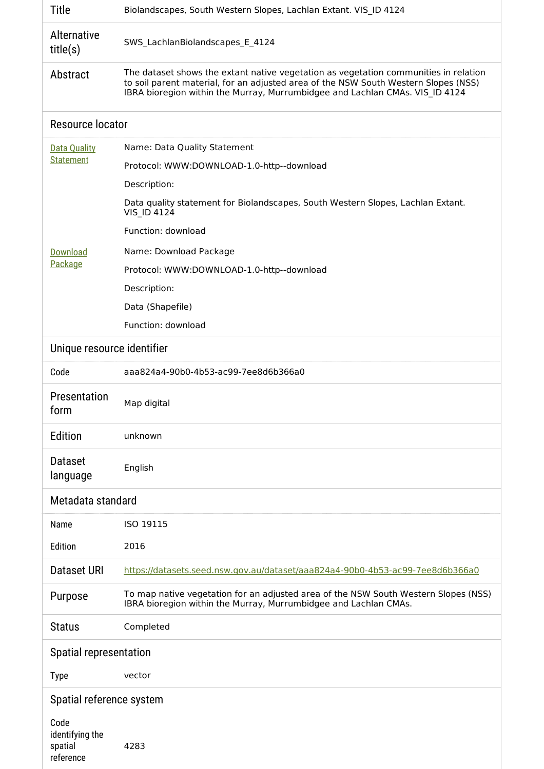| Title                                   | Biolandscapes, South Western Slopes, Lachlan Extant. VIS ID 4124                                                                                                                                                                                            |  |  |
|-----------------------------------------|-------------------------------------------------------------------------------------------------------------------------------------------------------------------------------------------------------------------------------------------------------------|--|--|
| Alternative<br>title(s)                 | SWS_LachlanBiolandscapes_E_4124                                                                                                                                                                                                                             |  |  |
| Abstract                                | The dataset shows the extant native vegetation as vegetation communities in relation<br>to soil parent material, for an adjusted area of the NSW South Western Slopes (NSS)<br>IBRA bioregion within the Murray, Murrumbidgee and Lachlan CMAs. VIS ID 4124 |  |  |
| Resource locator                        |                                                                                                                                                                                                                                                             |  |  |
| <b>Data Quality</b><br><b>Statement</b> | Name: Data Quality Statement                                                                                                                                                                                                                                |  |  |
|                                         | Protocol: WWW:DOWNLOAD-1.0-http--download                                                                                                                                                                                                                   |  |  |
|                                         | Description:                                                                                                                                                                                                                                                |  |  |
|                                         | Data quality statement for Biolandscapes, South Western Slopes, Lachlan Extant.<br><b>VIS ID 4124</b>                                                                                                                                                       |  |  |
|                                         | Function: download                                                                                                                                                                                                                                          |  |  |
| Download<br>Package                     | Name: Download Package                                                                                                                                                                                                                                      |  |  |
|                                         | Protocol: WWW:DOWNLOAD-1.0-http--download                                                                                                                                                                                                                   |  |  |
|                                         | Description:                                                                                                                                                                                                                                                |  |  |
|                                         | Data (Shapefile)                                                                                                                                                                                                                                            |  |  |
|                                         | Function: download                                                                                                                                                                                                                                          |  |  |
| Unique resource identifier              |                                                                                                                                                                                                                                                             |  |  |
| Code                                    | aaa824a4-90b0-4b53-ac99-7ee8d6b366a0                                                                                                                                                                                                                        |  |  |
| Presentation<br>form                    | Map digital                                                                                                                                                                                                                                                 |  |  |
| Edition                                 | unknown                                                                                                                                                                                                                                                     |  |  |
| <b>Dataset</b><br>language              | English                                                                                                                                                                                                                                                     |  |  |
| Metadata standard                       |                                                                                                                                                                                                                                                             |  |  |
| Name                                    | ISO 19115                                                                                                                                                                                                                                                   |  |  |
| Edition                                 | 2016                                                                                                                                                                                                                                                        |  |  |
| Dataset URI                             | https://datasets.seed.nsw.gov.au/dataset/aaa824a4-90b0-4b53-ac99-7ee8d6b366a0                                                                                                                                                                               |  |  |
| Purpose                                 | To map native vegetation for an adjusted area of the NSW South Western Slopes (NSS)<br>IBRA bioregion within the Murray, Murrumbidgee and Lachlan CMAs.                                                                                                     |  |  |
| <b>Status</b>                           | Completed                                                                                                                                                                                                                                                   |  |  |
| Spatial representation                  |                                                                                                                                                                                                                                                             |  |  |
| <b>Type</b>                             | vector                                                                                                                                                                                                                                                      |  |  |
| Spatial reference system                |                                                                                                                                                                                                                                                             |  |  |
| Code                                    |                                                                                                                                                                                                                                                             |  |  |
| identifying the<br>spatial<br>reference | 4283                                                                                                                                                                                                                                                        |  |  |

H.

H.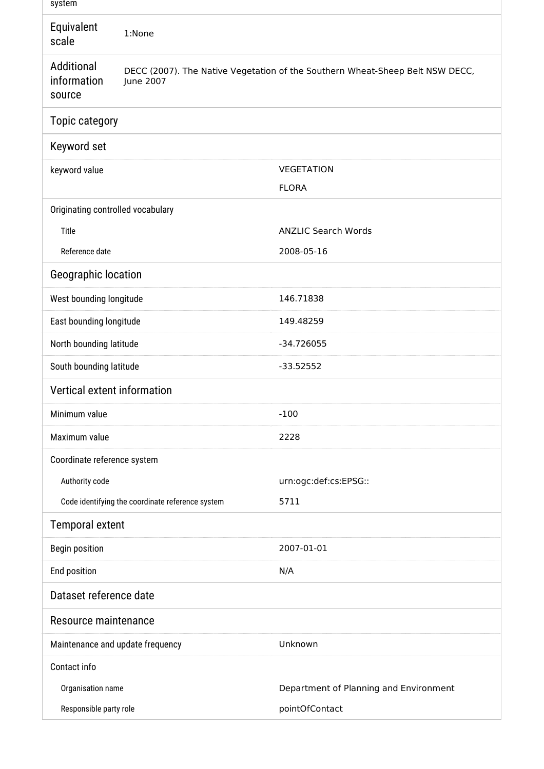| system                              |                                                                                            |                                        |  |  |
|-------------------------------------|--------------------------------------------------------------------------------------------|----------------------------------------|--|--|
| Equivalent<br>scale                 | 1:None                                                                                     |                                        |  |  |
| Additional<br>information<br>source | DECC (2007). The Native Vegetation of the Southern Wheat-Sheep Belt NSW DECC,<br>June 2007 |                                        |  |  |
| Topic category                      |                                                                                            |                                        |  |  |
| Keyword set                         |                                                                                            |                                        |  |  |
| keyword value                       |                                                                                            | <b>VEGETATION</b>                      |  |  |
|                                     |                                                                                            | <b>FLORA</b>                           |  |  |
| Originating controlled vocabulary   |                                                                                            |                                        |  |  |
| Title                               |                                                                                            | <b>ANZLIC Search Words</b>             |  |  |
| Reference date                      |                                                                                            | 2008-05-16                             |  |  |
| Geographic location                 |                                                                                            |                                        |  |  |
| West bounding longitude             |                                                                                            | 146.71838                              |  |  |
| East bounding longitude             |                                                                                            | 149.48259                              |  |  |
| North bounding latitude             |                                                                                            | -34.726055                             |  |  |
| South bounding latitude             |                                                                                            | $-33.52552$                            |  |  |
| Vertical extent information         |                                                                                            |                                        |  |  |
| Minimum value                       |                                                                                            | $-100$                                 |  |  |
| Maximum value                       |                                                                                            | 2228                                   |  |  |
| Coordinate reference system         |                                                                                            |                                        |  |  |
| Authority code                      |                                                                                            | urn:ogc:def:cs:EPSG::                  |  |  |
|                                     | Code identifying the coordinate reference system                                           | 5711                                   |  |  |
| <b>Temporal extent</b>              |                                                                                            |                                        |  |  |
| <b>Begin position</b>               |                                                                                            | 2007-01-01                             |  |  |
| End position                        |                                                                                            | N/A                                    |  |  |
| Dataset reference date              |                                                                                            |                                        |  |  |
| Resource maintenance                |                                                                                            |                                        |  |  |
| Maintenance and update frequency    |                                                                                            | Unknown                                |  |  |
| Contact info                        |                                                                                            |                                        |  |  |
| Organisation name                   |                                                                                            | Department of Planning and Environment |  |  |
| Responsible party role              |                                                                                            | pointOfContact                         |  |  |